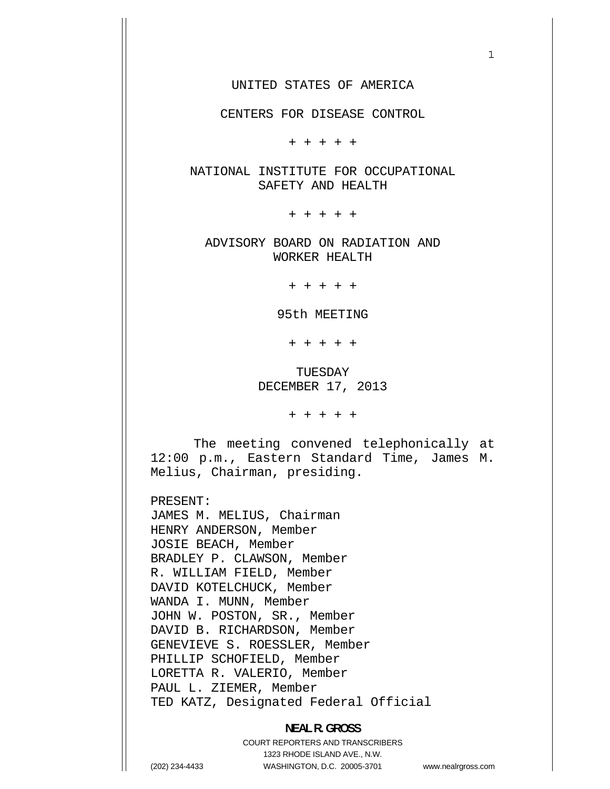1

CENTERS FOR DISEASE CONTROL

+ + + + +

NATIONAL INSTITUTE FOR OCCUPATIONAL SAFETY AND HEALTH

+ + + + +

ADVISORY BOARD ON RADIATION AND WORKER HEALTH

+ + + + +

95th MEETING

+ + + + +

TUESDAY DECEMBER 17, 2013

+ + + + +

The meeting convened telephonically at 12:00 p.m., Eastern Standard Time, James M. Melius, Chairman, presiding.

PRESENT:

JAMES M. MELIUS, Chairman HENRY ANDERSON, Member JOSIE BEACH, Member BRADLEY P. CLAWSON, Member R. WILLIAM FIELD, Member DAVID KOTELCHUCK, Member WANDA I. MUNN, Member JOHN W. POSTON, SR., Member DAVID B. RICHARDSON, Member GENEVIEVE S. ROESSLER, Member PHILLIP SCHOFIELD, Member LORETTA R. VALERIO, Member PAUL L. ZIEMER, Member TED KATZ, Designated Federal Official

#### **NEAL R. GROSS**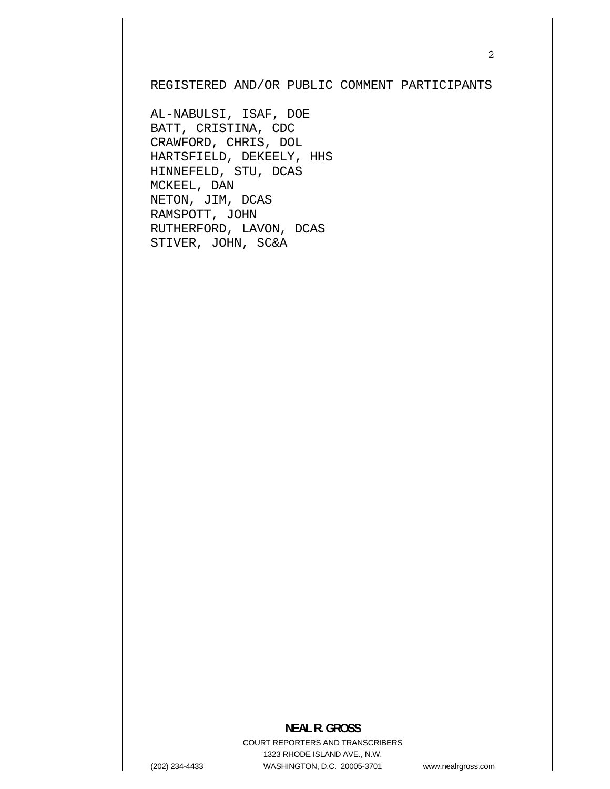#### REGISTERED AND/OR PUBLIC COMMENT PARTICIPANTS

AL-NABULSI, ISAF, DOE BATT, CRISTINA, CDC CRAWFORD, CHRIS, DOL HARTSFIELD, DEKEELY, HHS HINNEFELD, STU, DCAS MCKEEL, DAN NETON, JIM, DCAS RAMSPOTT, JOHN RUTHERFORD, LAVON, DCAS STIVER, JOHN, SC&A

### **NEAL R. GROSS**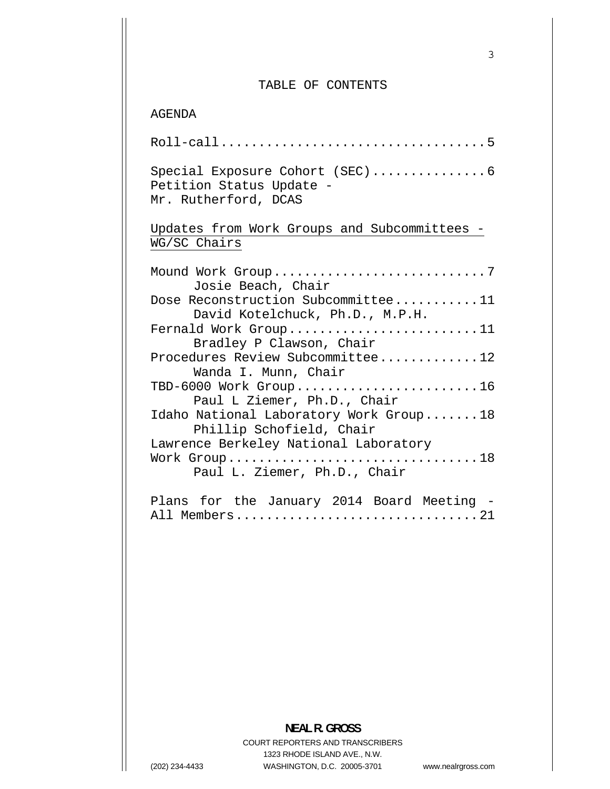#### TABLE OF CONTENTS

AGENDA

| Special Exposure Cohort (SEC) 6<br>Petition Status Update -<br>Mr. Rutherford, DCAS               |
|---------------------------------------------------------------------------------------------------|
| Updates from Work Groups and Subcommittees -<br>WG/SC Chairs                                      |
| Mound Work Group7<br>Josie Beach, Chair                                                           |
| Dose Reconstruction Subcommittee11<br>David Kotelchuck, Ph.D., M.P.H.                             |
| Fernald Work Group11<br>Bradley P Clawson, Chair                                                  |
| Procedures Review Subcommittee12<br>Wanda I. Munn, Chair                                          |
| TBD-6000 Work Group16                                                                             |
| Paul L Ziemer, Ph.D., Chair<br>Idaho National Laboratory Work Group18<br>Phillip Schofield, Chair |
| Lawrence Berkeley National Laboratory<br>Work Group18<br>Paul L. Ziemer, Ph.D., Chair             |

Plans for the January 2014 Board Meeting - [All Members................................21](#page-20-0) 

## **NEAL R. GROSS**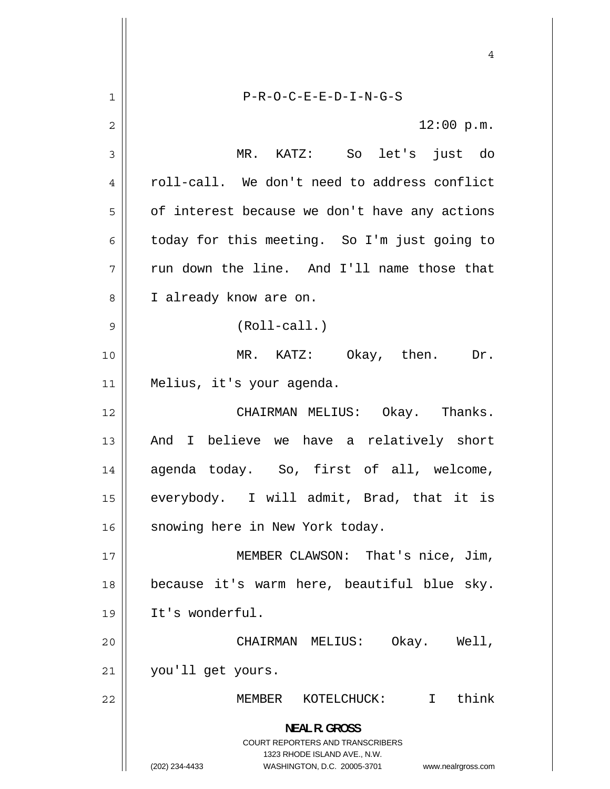4 1 P-R-O-C-E-E-D-I-N-G-S 2 12:00 p.m. 3 MR. KATZ: So let's just do 4 roll-call. We don't need to address conflict 5 of interest because we don't have any actions 6 today for this meeting. So I'm just going to 7 run down the line. And I'll name those that 8 I already know are on. 9 (Roll-call.) 10 MR. KATZ: Okay, then. Dr. 11 Melius, it's your agenda. 12 CHAIRMAN MELIUS: Okay. Thanks. 13 And I believe we have a relatively short 14 agenda today. So, first of all, welcome, 15 everybody. I will admit, Brad, that it is 16 || snowing here in New York today. 17 MEMBER CLAWSON: That's nice, Jim, 18 because it's warm here, beautiful blue sky. 19 It's wonderful. 20 CHAIRMAN MELIUS: Okay. Well, 21 you'll get yours. 22 MEMBER KOTELCHUCK: I think **NEAL R. GROSS**  COURT REPORTERS AND TRANSCRIBERS 1323 RHODE ISLAND AVE., N.W. (202) 234-4433 WASHINGTON, D.C. 20005-3701 www.nealrgross.com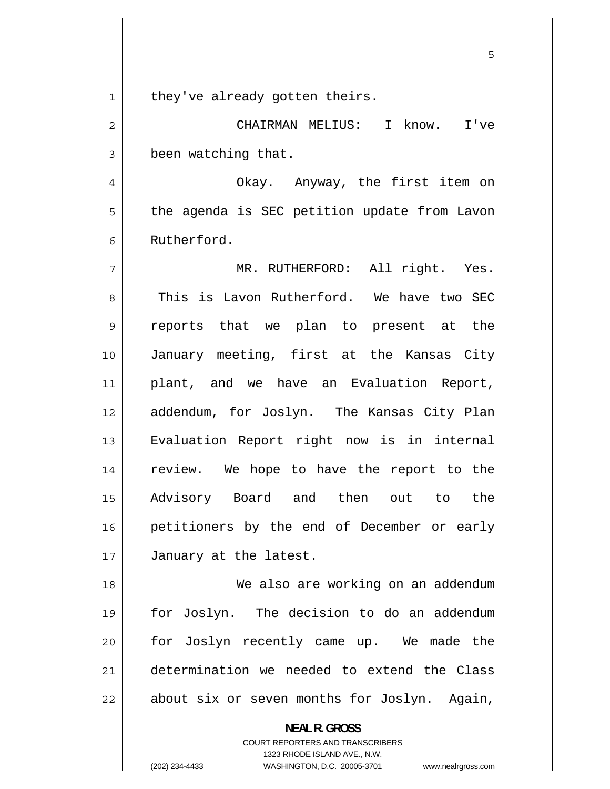<span id="page-4-0"></span>1 they've already gotten theirs.

2 CHAIRMAN MELIUS: I know. I've 3 been watching that.

4 Okay. Anyway, the first item on 5 the agenda is SEC petition update from Lavon 6 Rutherford.

7 MR. RUTHERFORD: All right. Yes. 8 This is Lavon Rutherford. We have two SEC 9 reports that we plan to present at the 10 January meeting, first at the Kansas City 11 plant, and we have an Evaluation Report, 12 addendum, for Joslyn. The Kansas City Plan 13 Evaluation Report right now is in internal 14 review. We hope to have the report to the 15 Advisory Board and then out to the 16 petitioners by the end of December or early 17 | January at the latest.

18 We also are working on an addendum 19 for Joslyn. The decision to do an addendum 20 for Joslyn recently came up. We made the 21 determination we needed to extend the Class 22 about six or seven months for Joslyn. Again,

**NEAL R. GROSS** 

COURT REPORTERS AND TRANSCRIBERS 1323 RHODE ISLAND AVE., N.W.

(202) 234-4433 WASHINGTON, D.C. 20005-3701 www.nealrgross.com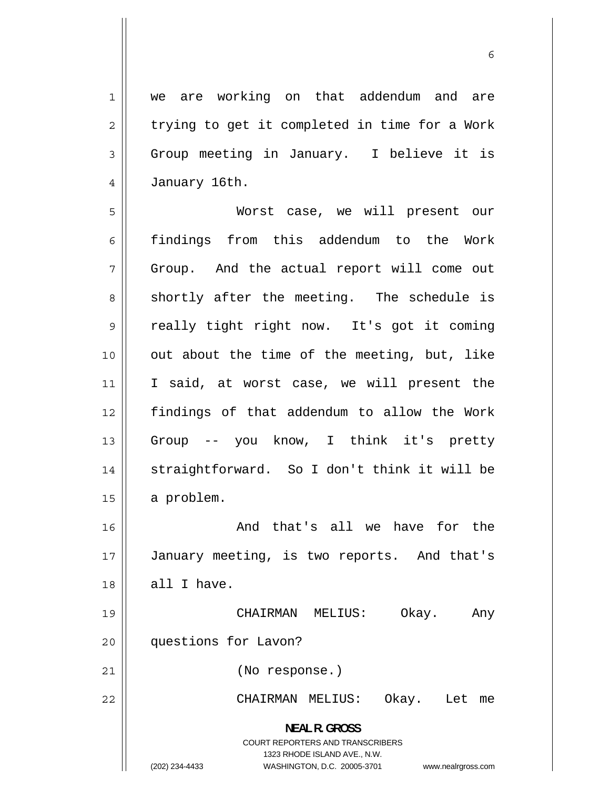<span id="page-5-0"></span>1 we are working on that addendum and are 2 trying to get it completed in time for a Work 3 Group meeting in January. I believe it is 4 January 16th.

5 Worst case, we will present our 6 findings from this addendum to the Work 7 Group. And the actual report will come out 8 shortly after the meeting. The schedule is 9 really tight right now. It's got it coming 10 out about the time of the meeting, but, like 11 I said, at worst case, we will present the 12 findings of that addendum to allow the Work 13 Group -- you know, I think it's pretty 14 straightforward. So I don't think it will be 15  $\parallel$  a problem. 16 And that's all we have for the

17 January meeting, is two reports. And that's  $18$  | all I have.

 CHAIRMAN MELIUS: Okay. Any 19 20 questions for Lavon?

21 (No response.)

22 CHAIRMAN MELIUS: Okay. Let me

> **NEAL R. GROSS**  COURT REPORTERS AND TRANSCRIBERS 1323 RHODE ISLAND AVE., N.W.

(202) 234-4433 WASHINGTON, D.C. 20005-3701 www.nealrgross.com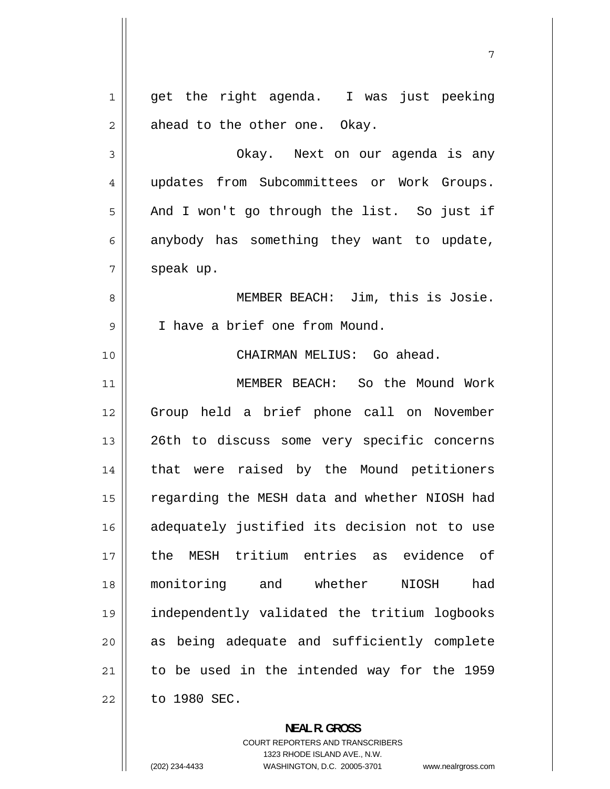<span id="page-6-0"></span>1 get the right agenda. I was just peeking 2 ahead to the other one. Okay. 3 Okay. Next on our agenda is any 4 updates from Subcommittees or Work Groups. 5 And I won't go through the list. So just if 6 anybody has something they want to update, 7 speak up. 8 MEMBER BEACH: Jim, this is Josie. 9 I have a brief one from Mound. 10 CHAIRMAN MELIUS: Go ahead. 11 MEMBER BEACH: So the Mound Work 12 Group held a brief phone call on November 13 26th to discuss some very specific concerns 14 that were raised by the Mound petitioners 15 regarding the MESH data and whether NIOSH had 16 adequately justified its decision not to use 17 the MESH tritium entries as evidence of 18 monitoring and whether NIOSH had 19 independently validated the tritium logbooks 20 as being adequate and sufficiently complete 21 to be used in the intended way for the 1959 22 to 1980 SEC.

> **NEAL R. GROSS**  COURT REPORTERS AND TRANSCRIBERS 1323 RHODE ISLAND AVE., N.W.

(202) 234-4433 WASHINGTON, D.C. 20005-3701 www.nealrgross.com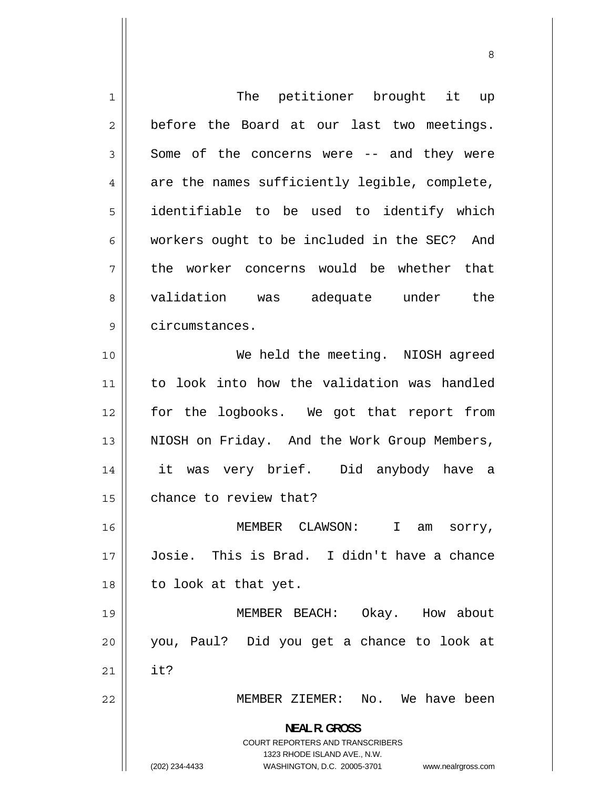1 The petitioner brought it up 2 before the Board at our last two meetings. 3 Some of the concerns were -- and they were 4 are the names sufficiently legible, complete, 5 identifiable to be used to identify which 6 workers ought to be included in the SEC? And 7 the worker concerns would be whether that 8 validation was adequate under the 9 circumstances. 10 We held the meeting. NIOSH agreed 11 to look into how the validation was handled 12 for the logbooks. We got that report from 13 NIOSH on Friday. And the Work Group Members, 14 it was very brief. Did anybody have a 15 | chance to review that? 16 MEMBER CLAWSON: I am sorry, 17 Josie. This is Brad. I didn't have a chance 18 || to look at that yet. 19 MEMBER BEACH: Okay. How about 20 you, Paul? Did you get a chance to look at  $21 \parallel$  it? 22 MEMBER ZIEMER: No. We have been **NEAL R. GROSS**  COURT REPORTERS AND TRANSCRIBERS 1323 RHODE ISLAND AVE., N.W. (202) 234-4433 WASHINGTON, D.C. 20005-3701 www.nealrgross.com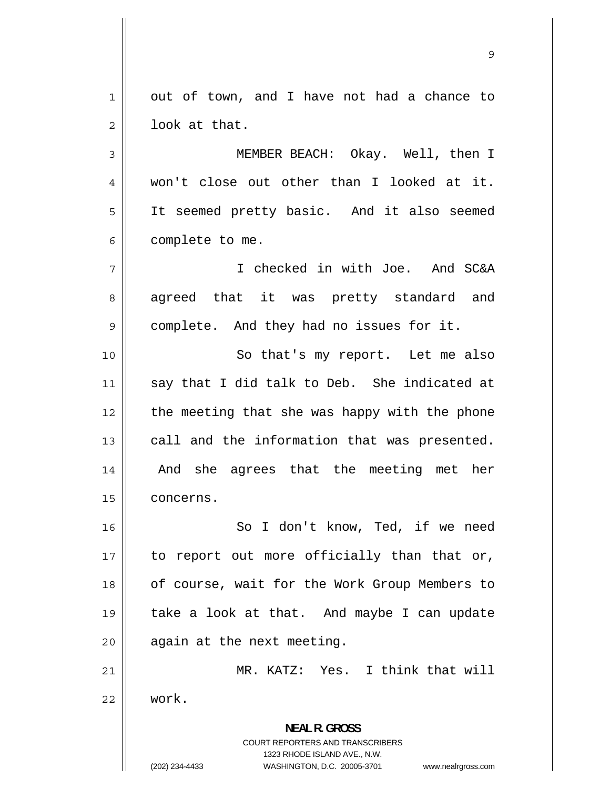1 out of town, and I have not had a chance to 2 look at that.

3 MEMBER BEACH: Okay. Well, then I 4 won't close out other than I looked at it. 5 It seemed pretty basic. And it also seemed 6 complete to me.

7 I checked in with Joe. And SC&A 8 agreed that it was pretty standard and 9 complete. And they had no issues for it.

10 So that's my report. Let me also 11 say that I did talk to Deb. She indicated at 12 the meeting that she was happy with the phone 13 call and the information that was presented. 14 And she agrees that the meeting met her 15 **concerns.** 

16 So I don't know, Ted, if we need 17 to report out more officially than that or, 18 of course, wait for the Work Group Members to 19 take a look at that. And maybe I can update  $20$  || again at the next meeting.

21 MR. KATZ: Yes. I think that will 22 work.

> **NEAL R. GROSS**  COURT REPORTERS AND TRANSCRIBERS 1323 RHODE ISLAND AVE., N.W.

(202) 234-4433 WASHINGTON, D.C. 20005-3701 www.nealrgross.com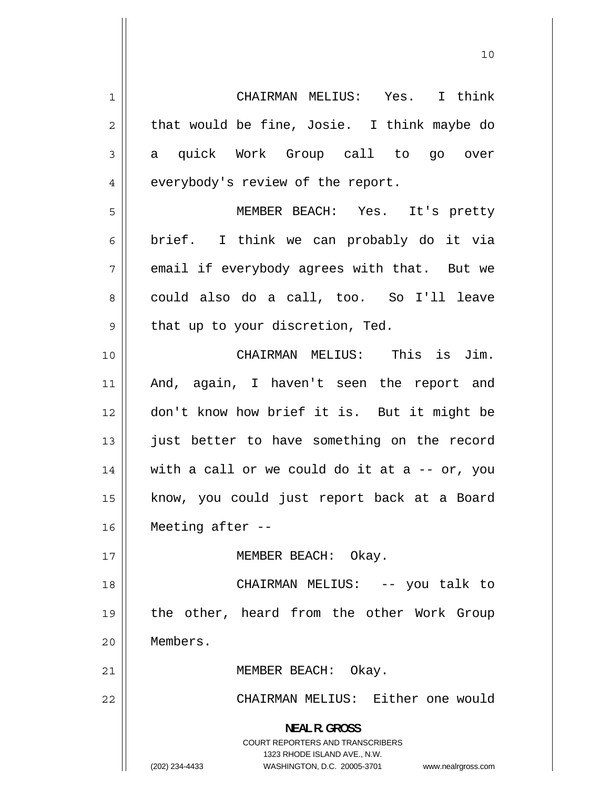1 CHAIRMAN MELIUS: Yes. I think 2 that would be fine, Josie. I think maybe do 3 a quick Work Group call to go over 4 everybody's review of the report. 5 MEMBER BEACH: Yes. It's pretty 6 brief. I think we can probably do it via 7 email if everybody agrees with that. But we 8 could also do a call, too. So I'll leave 9 that up to your discretion, Ted. 10 CHAIRMAN MELIUS: This is Jim. 11 And, again, I haven't seen the report and 12 don't know how brief it is. But it might be 13 just better to have something on the record 14 with a call or we could do it at  $a - -$  or, you 15 know, you could just report back at a Board 16 Meeting after -- 17 || MEMBER BEACH: Okay. 18 CHAIRMAN MELIUS: -- you talk to 19 the other, heard from the other Work Group 20 Members. 21 || MEMBER BEACH: Okay. 22 CHAIRMAN MELIUS: Either one would **NEAL R. GROSS**  COURT REPORTERS AND TRANSCRIBERS 1323 RHODE ISLAND AVE., N.W.

<sup>(202) 234-4433</sup> WASHINGTON, D.C. 20005-3701 www.nealrgross.com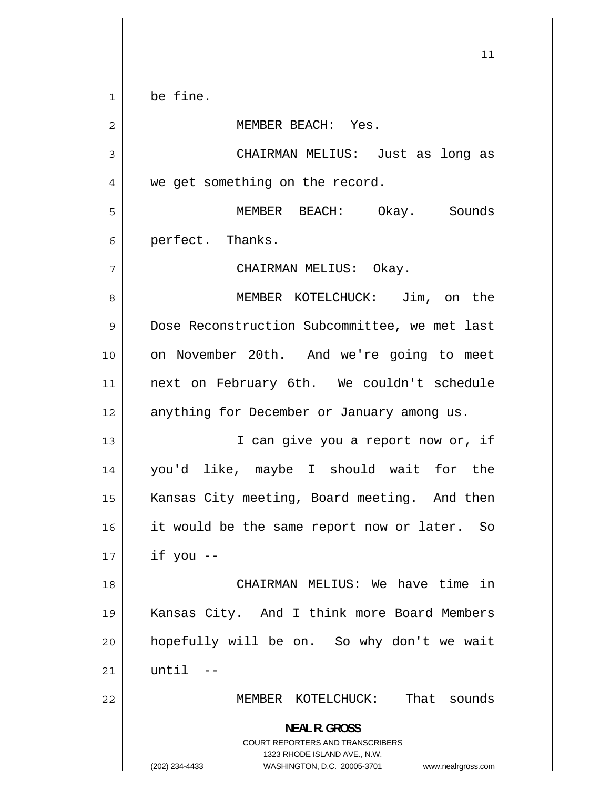<span id="page-10-0"></span> $11$ 1 be fine. 2 MEMBER BEACH: Yes. 3 CHAIRMAN MELIUS: Just as long as 4 we get something on the record. 5 MEMBER BEACH: Okay. Sounds 6 perfect. Thanks. 7 CHAIRMAN MELIUS: Okay. 8 MEMBER KOTELCHUCK: Jim, on the 9 Dose Reconstruction Subcommittee, we met last 10 on November 20th. And we're going to meet 11 next on February 6th. We couldn't schedule 12 || anything for December or January among us. 13 I can give you a report now or, if 14 you'd like, maybe I should wait for the 15 Kansas City meeting, Board meeting. And then 16 it would be the same report now or later. So  $17$  | if you --18 CHAIRMAN MELIUS: We have time in 19 Kansas City. And I think more Board Members 20 hopefully will be on. So why don't we wait 21 until -- 22 MEMBER KOTELCHUCK: That sounds **NEAL R. GROSS**  COURT REPORTERS AND TRANSCRIBERS 1323 RHODE ISLAND AVE., N.W. (202) 234-4433 WASHINGTON, D.C. 20005-3701 www.nealrgross.com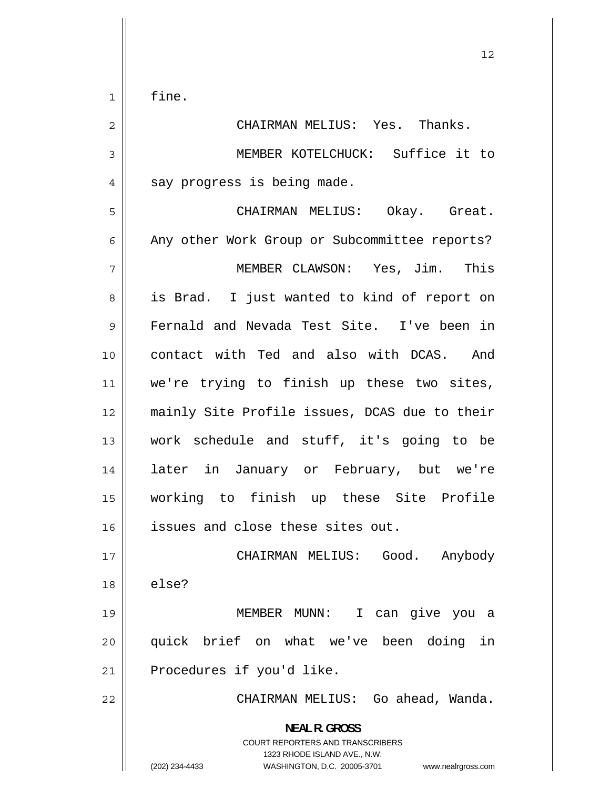fine.

<span id="page-11-0"></span>1

2 CHAIRMAN MELIUS: Yes. Thanks. 3 MEMBER KOTELCHUCK: Suffice it to 4 say progress is being made. 5 CHAIRMAN MELIUS: Okay. Great. 6 Any other Work Group or Subcommittee reports? 7 MEMBER CLAWSON: Yes, Jim. This 8 is Brad. I just wanted to kind of report on 9 Fernald and Nevada Test Site. I've been in 10 contact with Ted and also with DCAS. And 11 we're trying to finish up these two sites, 12 mainly Site Profile issues, DCAS due to their 13 work schedule and stuff, it's going to be 14 later in January or February, but we're 15 working to finish up these Site Profile 16 || issues and close these sites out. 17 CHAIRMAN MELIUS: Good. Anybody  $18 \parallel$  else? 19 MEMBER MUNN: I can give you a 20 quick brief on what we've been doing in 21 || Procedures if you'd like. 22 CHAIRMAN MELIUS: Go ahead, Wanda. **NEAL R. GROSS**  COURT REPORTERS AND TRANSCRIBERS 1323 RHODE ISLAND AVE., N.W. (202) 234-4433 WASHINGTON, D.C. 20005-3701 www.nealrgross.com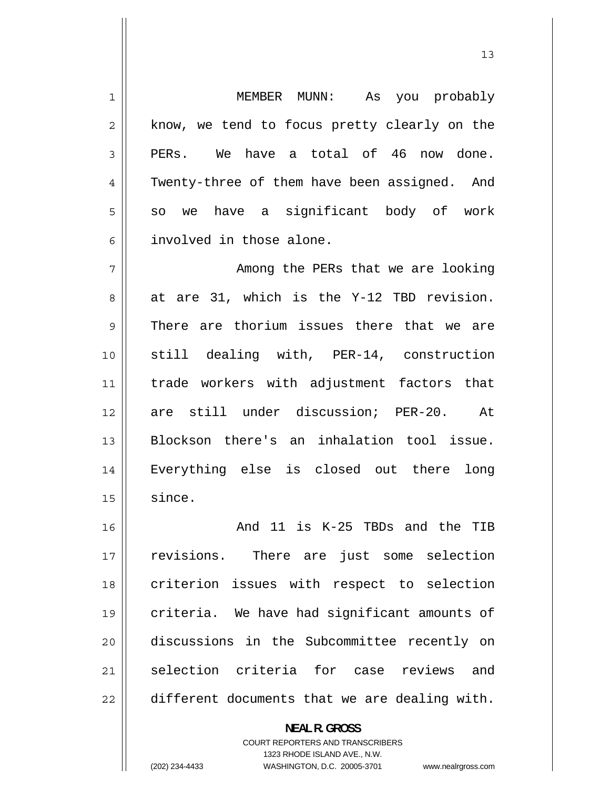1 MEMBER MUNN: As you probably 2 know, we tend to focus pretty clearly on the 3 PERs. We have a total of 46 now done. 4 Twenty-three of them have been assigned. And 5 so we have a significant body of work 6 involved in those alone. 7 Among the PERs that we are looking 8 at are 31, which is the Y-12 TBD revision. 9 There are thorium issues there that we are 10 still dealing with, PER-14, construction 11 trade workers with adjustment factors that 12 are still under discussion; PER-20. At 13 Blockson there's an inhalation tool issue. 14 Everything else is closed out there long  $15$  since. 16 And 11 is K-25 TBDs and the TIB 17 revisions. There are just some selection 18 criterion issues with respect to selection 19 criteria. We have had significant amounts of 20 discussions in the Subcommittee recently on 21 selection criteria for case reviews and 22 different documents that we are dealing with. **NEAL R. GROSS** 

> COURT REPORTERS AND TRANSCRIBERS 1323 RHODE ISLAND AVE., N.W.

13

(202) 234-4433 WASHINGTON, D.C. 20005-3701 www.nealrgross.com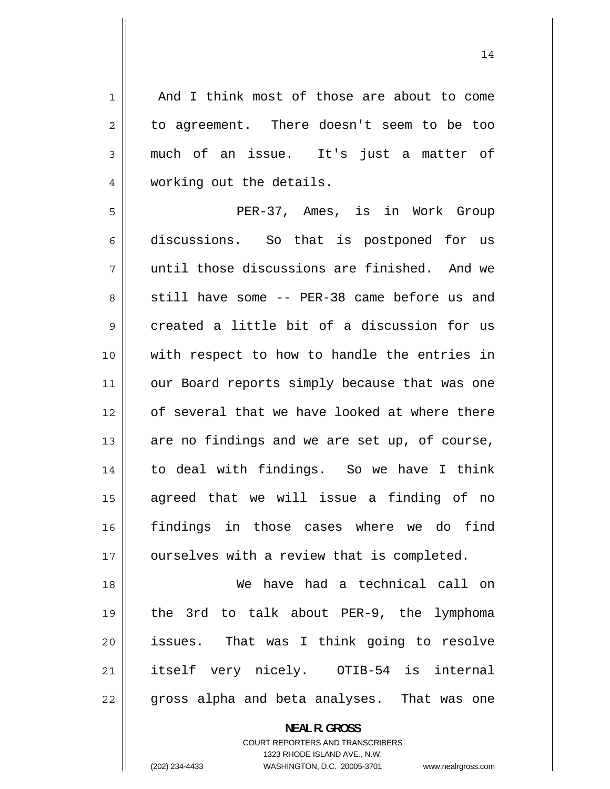And I think most of those are about to come to agreement. There doesn't seem to be too much of an issue. It's just a matter of working out the details.

1

2

3

4

5 PER-37, Ames, is in Work Group 6 discussions. So that is postponed for us 7 until those discussions are finished. And we 8 still have some -- PER-38 came before us and 9 created a little bit of a discussion for us 10 with respect to how to handle the entries in 11 our Board reports simply because that was one 12 of several that we have looked at where there 13 are no findings and we are set up, of course, 14 to deal with findings. So we have I think 15 agreed that we will issue a finding of no 16 findings in those cases where we do find 17 | ourselves with a review that is completed.

18 We have had a technical call on 19 the 3rd to talk about PER-9, the lymphoma 20 issues. That was I think going to resolve 21 itself very nicely. OTIB-54 is internal 22 gross alpha and beta analyses. That was one

**NEAL R. GROSS**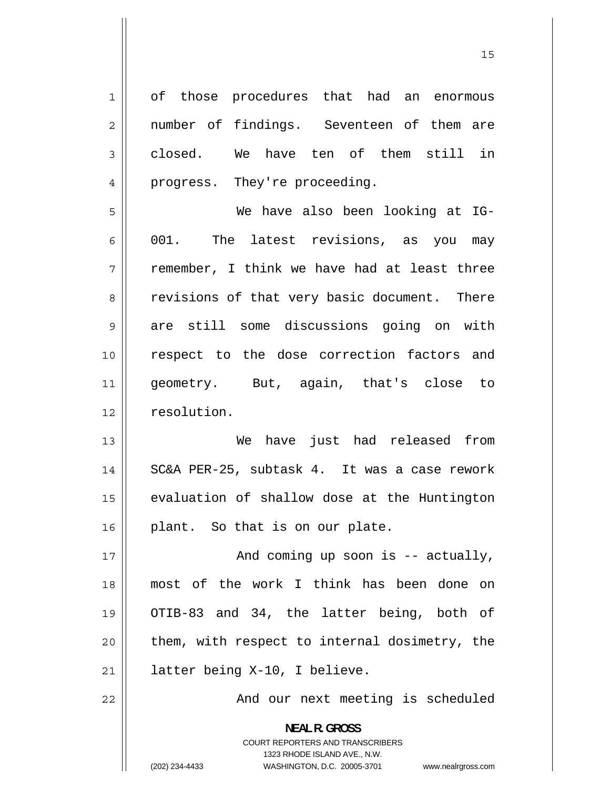1 of those procedures that had an enormous 2 number of findings. Seventeen of them are 3 closed. We have ten of them still in 4 progress. They're proceeding. 5 We have also been looking at IG-6 001. The latest revisions, as you may 7 remember, I think we have had at least three 8 revisions of that very basic document. There 9 are still some discussions going on with 10 respect to the dose correction factors and 11 geometry. But, again, that's close to 12 | resolution. 13 We have just had released from 14 SC&A PER-25, subtask 4. It was a case rework 15 evaluation of shallow dose at the Huntington 16 || plant. So that is on our plate. 17 And coming up soon is -- actually, 18 most of the work I think has been done on 19 OTIB-83 and 34, the latter being, both of 20 them, with respect to internal dosimetry, the 21 || latter being X-10, I believe. 22 And our next meeting is scheduled **NEAL R. GROSS**  COURT REPORTERS AND TRANSCRIBERS 1323 RHODE ISLAND AVE., N.W.

(202) 234-4433 WASHINGTON, D.C. 20005-3701 www.nealrgross.com

15 and 15 and 15 and 15 and 15 and 15 and 15 and 15 and 15 and 15 and 15 and 15 and 15 and 15 and 15 and 15 an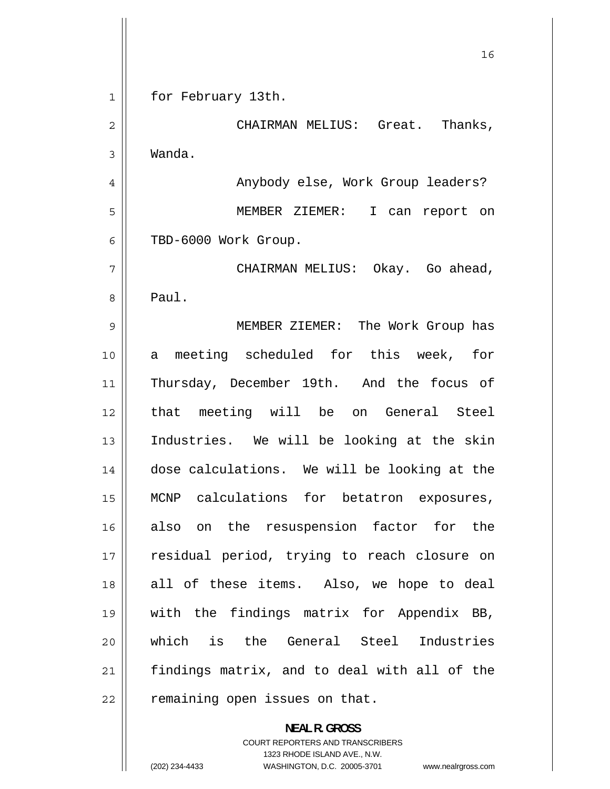<span id="page-15-0"></span> 16 1 for February 13th. 2 CHAIRMAN MELIUS: Great. Thanks, 3 Wanda. 4 Anybody else, Work Group leaders? 5 MEMBER ZIEMER: I can report on 6 TBD-6000 Work Group. 7 CHAIRMAN MELIUS: Okay. Go ahead, 8 Paul. 9 MEMBER ZIEMER: The Work Group has 10 a meeting scheduled for this week, for 11 Thursday, December 19th. And the focus of 12 that meeting will be on General Steel 13 Industries. We will be looking at the skin 14 dose calculations. We will be looking at the 15 MCNP calculations for betatron exposures, 16 also on the resuspension factor for the 17 residual period, trying to reach closure on 18 all of these items. Also, we hope to deal 19 with the findings matrix for Appendix BB, 20 which is the General Steel Industries 21 findings matrix, and to deal with all of the  $22$  | remaining open issues on that. **NEAL R. GROSS** 

> COURT REPORTERS AND TRANSCRIBERS 1323 RHODE ISLAND AVE., N.W.

(202) 234-4433 WASHINGTON, D.C. 20005-3701 www.nealrgross.com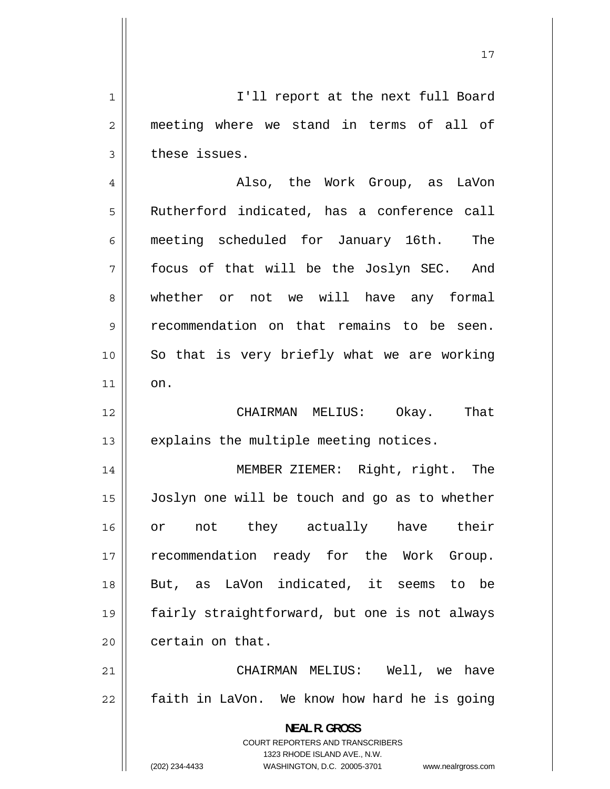1 I'll report at the next full Board 2 meeting where we stand in terms of all of 3 these issues.

4 Also, the Work Group, as LaVon 5 Rutherford indicated, has a conference call 6 meeting scheduled for January 16th. The 7 focus of that will be the Joslyn SEC. And 8 whether or not we will have any formal 9 recommendation on that remains to be seen. 10 So that is very briefly what we are working  $11$  on. 12 CHAIRMAN MELIUS: Okay. That  $13$  || explains the multiple meeting notices. 14 MEMBER ZIEMER: Right, right. The 15 Joslyn one will be touch and go as to whether 16 or not they actually have their 17 recommendation ready for the Work Group. 18 But, as LaVon indicated, it seems to be 19 fairly straightforward, but one is not always  $20$  | certain on that. CHAIRMAN MELIUS: Well, we have

21 22 faith in LaVon. We know how hard he is going

> **NEAL R. GROSS**  COURT REPORTERS AND TRANSCRIBERS 1323 RHODE ISLAND AVE., N.W.

(202) 234-4433 WASHINGTON, D.C. 20005-3701 www.nealrgross.com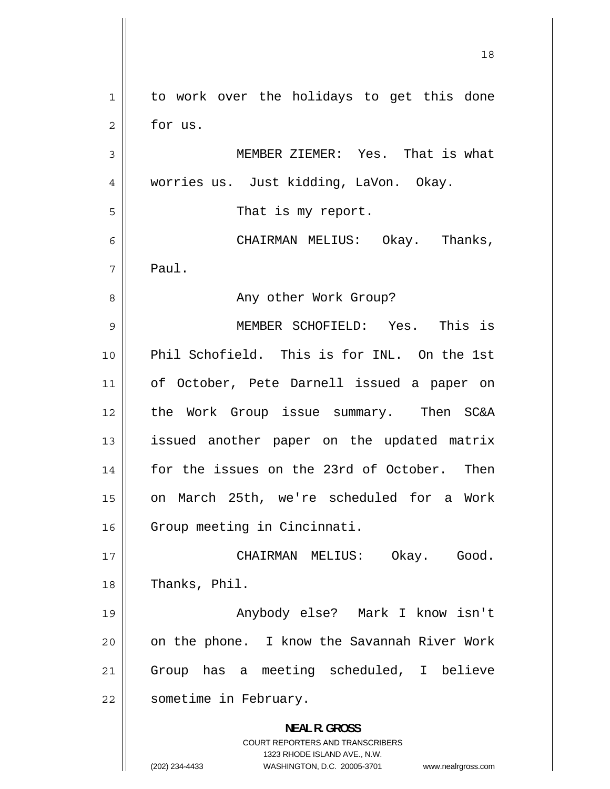<span id="page-17-0"></span> 18 1 to work over the holidays to get this done 2 for us. 3 MEMBER ZIEMER: Yes. That is what 4 worries us. Just kidding, LaVon. Okay. 5 That is my report. 6 CHAIRMAN MELIUS: Okay. Thanks, 7 Paul. 8 Any other Work Group? 9 MEMBER SCHOFIELD: Yes. This is 10 Phil Schofield. This is for INL. On the 1st 11 of October, Pete Darnell issued a paper on 12 the Work Group issue summary. Then SC&A 13 issued another paper on the updated matrix 14 for the issues on the 23rd of October. Then 15 on March 25th, we're scheduled for a Work 16 | Group meeting in Cincinnati. 17 CHAIRMAN MELIUS: Okay. Good. 18 | Thanks, Phil. 19 Anybody else? Mark I know isn't 20 on the phone. I know the Savannah River Work 21 Group has a meeting scheduled, I believe 22 | sometime in February. **NEAL R. GROSS**  COURT REPORTERS AND TRANSCRIBERS 1323 RHODE ISLAND AVE., N.W. (202) 234-4433 WASHINGTON, D.C. 20005-3701 www.nealrgross.com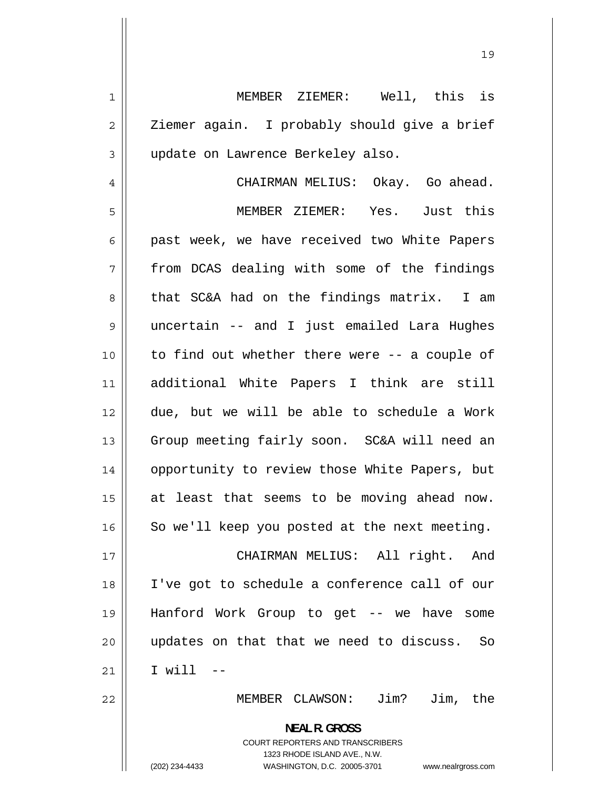1 MEMBER ZIEMER: Well, this is 2 Ziemer again. I probably should give a brief 3 update on Lawrence Berkeley also.

4 CHAIRMAN MELIUS: Okay. Go ahead. 5 MEMBER ZIEMER: Yes. Just this 6 past week, we have received two White Papers 7 from DCAS dealing with some of the findings 8 that SC&A had on the findings matrix. I am 9 uncertain -- and I just emailed Lara Hughes 10 to find out whether there were -- a couple of 11 additional White Papers I think are still 12 due, but we will be able to schedule a Work 13 Group meeting fairly soon. SC&A will need an 14 opportunity to review those White Papers, but 15 at least that seems to be moving ahead now. 16 So we'll keep you posted at the next meeting. 17 CHAIRMAN MELIUS: All right. And 18 I've got to schedule a conference call of our 19 Hanford Work Group to get -- we have some 20 updates on that that we need to discuss. So 21 I will -- 22 MEMBER CLAWSON: Jim? Jim, the **NEAL R. GROSS** 

COURT REPORTERS AND TRANSCRIBERS 1323 RHODE ISLAND AVE., N.W. (202) 234-4433 WASHINGTON, D.C. 20005-3701 www.nealrgross.com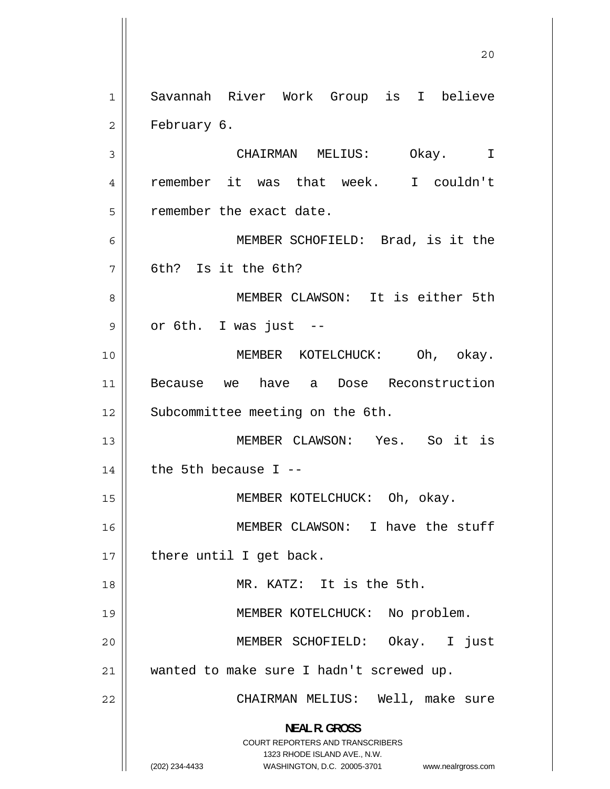20 1 Savannah River Work Group is I believe 2 February 6. 3 CHAIRMAN MELIUS: Okay. I 4 remember it was that week. I couldn't 5 remember the exact date. 6 MEMBER SCHOFIELD: Brad, is it the 7 6th? Is it the 6th? 8 MEMBER CLAWSON: It is either 5th 9 or 6th. I was just -- 10 MEMBER KOTELCHUCK: Oh, okay. 11 Because we have a Dose Reconstruction 12 || Subcommittee meeting on the 6th. 13 MEMBER CLAWSON: Yes. So it is  $14$  | the 5th because I --15 || MEMBER KOTELCHUCK: Oh, okay. 16 MEMBER CLAWSON: I have the stuff  $17$  || there until I get back. 18 MR. KATZ: It is the 5th. 19 || MEMBER KOTELCHUCK: No problem. 20 MEMBER SCHOFIELD: Okay. I just 21 wanted to make sure I hadn't screwed up. 22 CHAIRMAN MELIUS: Well, make sure **NEAL R. GROSS**  COURT REPORTERS AND TRANSCRIBERS 1323 RHODE ISLAND AVE., N.W. (202) 234-4433 WASHINGTON, D.C. 20005-3701 www.nealrgross.com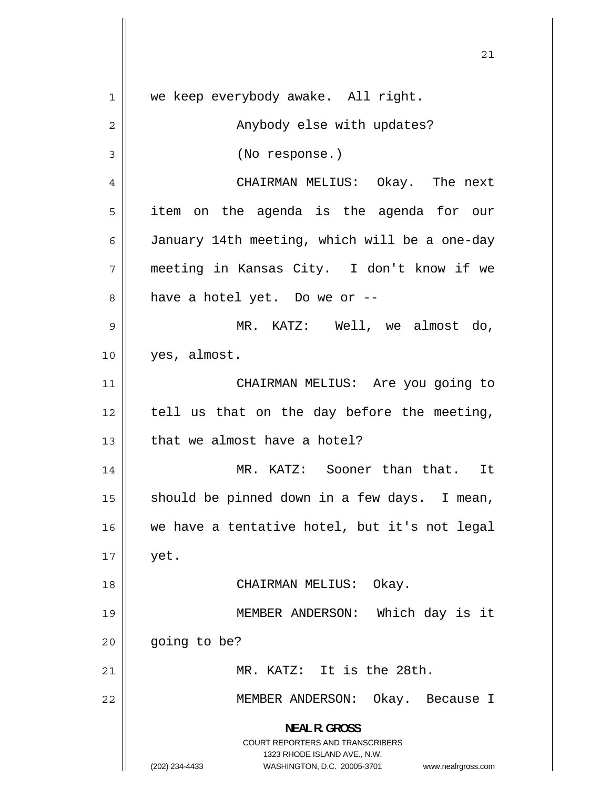<span id="page-20-0"></span> 21 1 we keep everybody awake. All right. 2 Anybody else with updates? 3 (No response.) 4 CHAIRMAN MELIUS: Okay. The next 5 item on the agenda is the agenda for our 6 January 14th meeting, which will be a one-day 7 meeting in Kansas City. I don't know if we 8 have a hotel yet. Do we or -- 9 MR. KATZ: Well, we almost do, 10 yes, almost. 11 CHAIRMAN MELIUS: Are you going to 12 tell us that on the day before the meeting,  $13$  | that we almost have a hotel? 14 MR. KATZ: Sooner than that. It 15 should be pinned down in a few days. I mean, 16 we have a tentative hotel, but it's not legal  $17 \parallel$  yet. 18 CHAIRMAN MELIUS: Okay. 19 MEMBER ANDERSON: Which day is it  $20$  |  $qoinq$  to be? 21 || MR. KATZ: It is the 28th. 22 MEMBER ANDERSON: Okay. Because I **NEAL R. GROSS**  COURT REPORTERS AND TRANSCRIBERS 1323 RHODE ISLAND AVE., N.W. (202) 234-4433 WASHINGTON, D.C. 20005-3701 www.nealrgross.com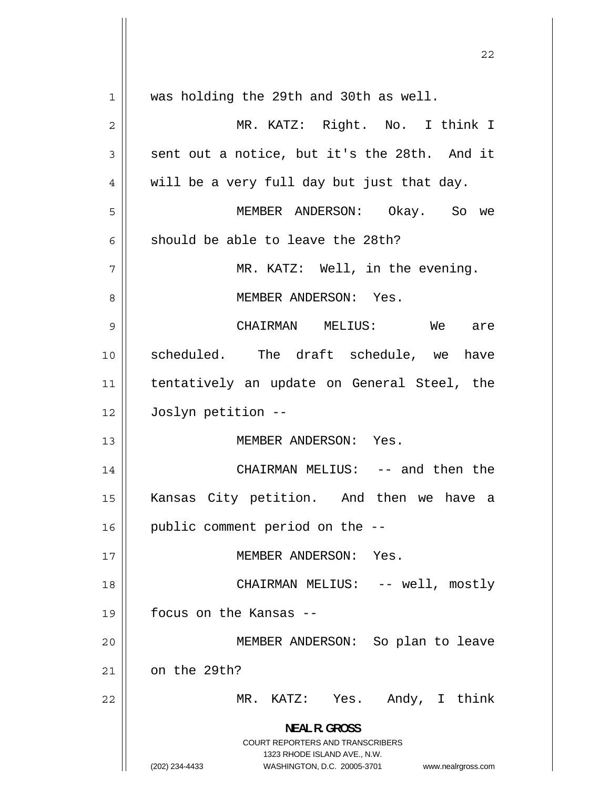<u>22</u> 1 was holding the 29th and 30th as well. 2 MR. KATZ: Right. No. I think I 3 sent out a notice, but it's the 28th. And it 4 will be a very full day but just that day. 5 MEMBER ANDERSON: Okay. So we 6 should be able to leave the 28th? 7 MR. KATZ: Well, in the evening. 8 MEMBER ANDERSON: Yes. 9 CHAIRMAN MELIUS: We are 10 scheduled. The draft schedule, we have 11 tentatively an update on General Steel, the 12 Joslyn petition -- 13 MEMBER ANDERSON: Yes. 14 CHAIRMAN MELIUS: -- and then the 15 Kansas City petition. And then we have a 16 || public comment period on the --17 || MEMBER ANDERSON: Yes. 18 CHAIRMAN MELIUS: -- well, mostly 19 focus on the Kansas -- 20 MEMBER ANDERSON: So plan to leave 21 on the 29th? 22 MR. KATZ: Yes. Andy, I think **NEAL R. GROSS**  COURT REPORTERS AND TRANSCRIBERS 1323 RHODE ISLAND AVE., N.W. (202) 234-4433 WASHINGTON, D.C. 20005-3701 www.nealrgross.com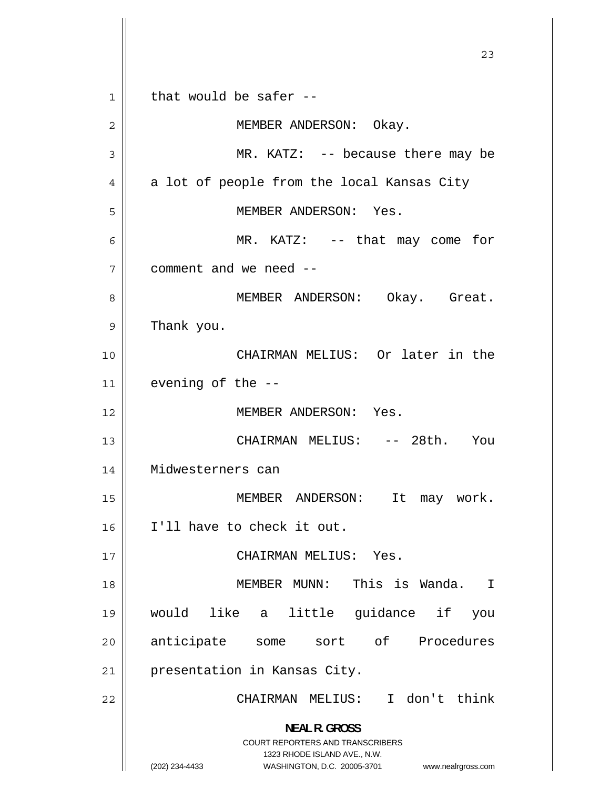23 1 that would be safer -- 2 MEMBER ANDERSON: Okay. 3 MR. KATZ: -- because there may be 4 a lot of people from the local Kansas City 5 MEMBER ANDERSON: Yes. 6 MR. KATZ: -- that may come for 7 comment and we need -- 8 MEMBER ANDERSON: Okay. Great. 9 Thank you. 10 CHAIRMAN MELIUS: Or later in the  $11$  | evening of the  $-$ 12 MEMBER ANDERSON: Yes. 13 CHAIRMAN MELIUS: -- 28th. You 14 Midwesterners can 15 MEMBER ANDERSON: It may work. 16 I'll have to check it out. 17 CHAIRMAN MELIUS: Yes. 18 MEMBER MUNN: This is Wanda. I 19 would like a little guidance if you 20 anticipate some sort of Procedures 21 || presentation in Kansas City. 22 CHAIRMAN MELIUS: I don't think **NEAL R. GROSS**  COURT REPORTERS AND TRANSCRIBERS 1323 RHODE ISLAND AVE., N.W. (202) 234-4433 WASHINGTON, D.C. 20005-3701 www.nealrgross.com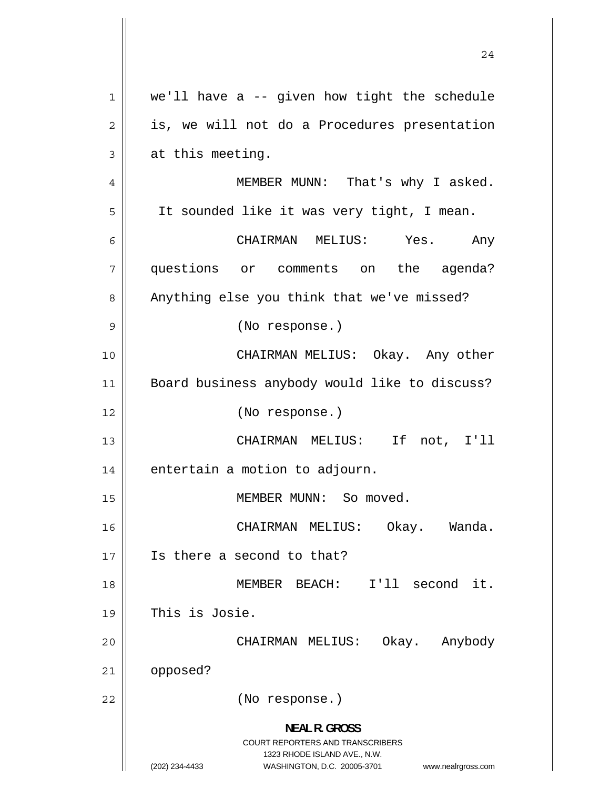24 1 we'll have a -- given how tight the schedule 2 is, we will not do a Procedures presentation 3 at this meeting. 4 MEMBER MUNN: That's why I asked. 5 It sounded like it was very tight, I mean. 6 CHAIRMAN MELIUS: Yes. Any 7 questions or comments on the agenda? 8 Anything else you think that we've missed? 9 (No response.) 10 CHAIRMAN MELIUS: Okay. Any other 11 Board business anybody would like to discuss? 12 || (No response.) 13 CHAIRMAN MELIUS: If not, I'll  $14$  | entertain a motion to adjourn. 15 || MEMBER MUNN: So moved. 16 CHAIRMAN MELIUS: Okay. Wanda. 17 Is there a second to that? 18 MEMBER BEACH: I'll second it. 19 This is Josie. 20 CHAIRMAN MELIUS: Okay. Anybody 21 | opposed? 22 (No response.) **NEAL R. GROSS**  COURT REPORTERS AND TRANSCRIBERS 1323 RHODE ISLAND AVE., N.W. (202) 234-4433 WASHINGTON, D.C. 20005-3701 www.nealrgross.com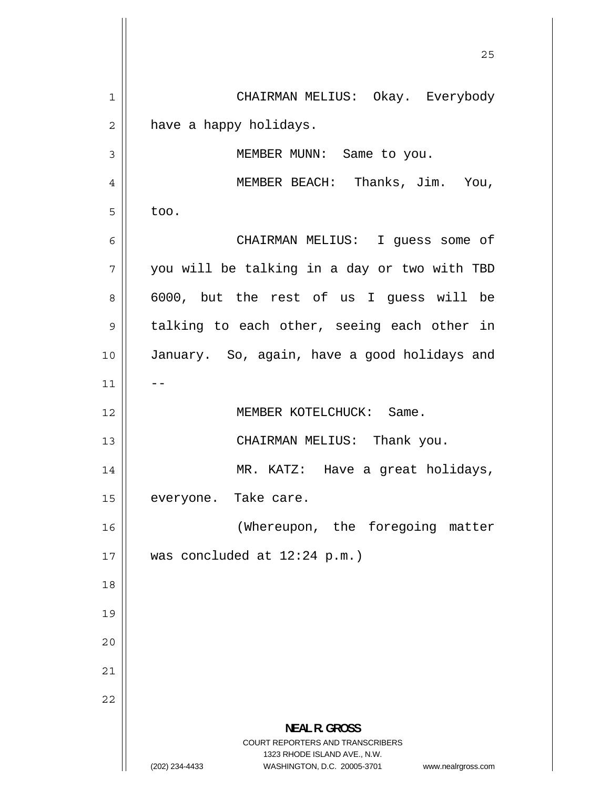-- <u>25</u> 1 CHAIRMAN MELIUS: Okay. Everybody 2 have a happy holidays. 3 MEMBER MUNN: Same to you. 4 MEMBER BEACH: Thanks, Jim. You, 5 too. 6 CHAIRMAN MELIUS: I guess some of 7 you will be talking in a day or two with TBD 8 6000, but the rest of us I guess will be 9 talking to each other, seeing each other in 10 January. So, again, have a good holidays and 11 12 MEMBER KOTELCHUCK: Same. 13 CHAIRMAN MELIUS: Thank you. 14 MR. KATZ: Have a great holidays, 15 everyone. Take care. 16 (Whereupon, the foregoing matter 17 was concluded at 12:24 p.m.) 18 19 20 21 22 **NEAL R. GROSS**  COURT REPORTERS AND TRANSCRIBERS 1323 RHODE ISLAND AVE., N.W. (202) 234-4433 WASHINGTON, D.C. 20005-3701 www.nealrgross.com